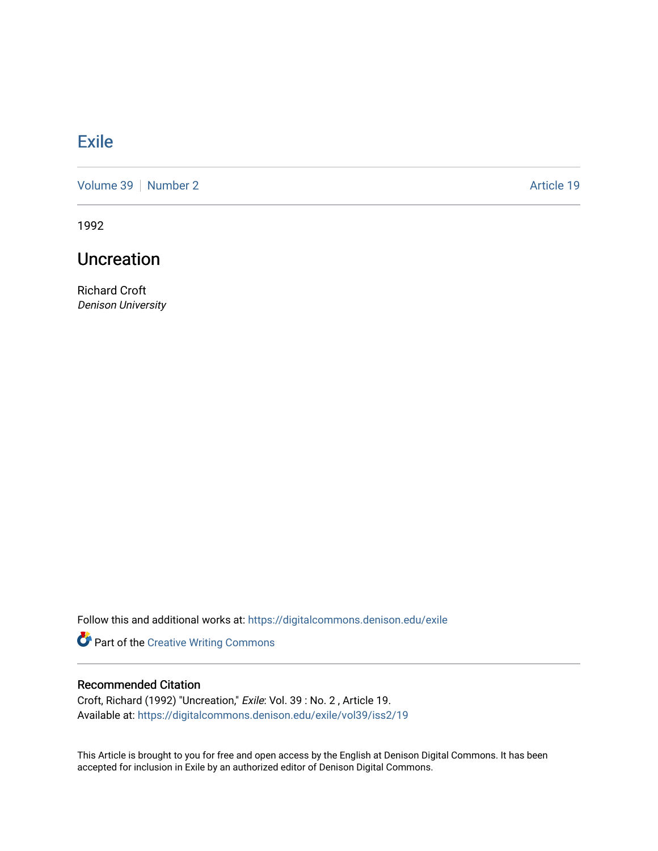## **[Exile](https://digitalcommons.denison.edu/exile)**

[Volume 39](https://digitalcommons.denison.edu/exile/vol39) [Number 2](https://digitalcommons.denison.edu/exile/vol39/iss2) Article 19

1992

## Uncreation

Richard Croft Denison University

Follow this and additional works at: [https://digitalcommons.denison.edu/exile](https://digitalcommons.denison.edu/exile?utm_source=digitalcommons.denison.edu%2Fexile%2Fvol39%2Fiss2%2F19&utm_medium=PDF&utm_campaign=PDFCoverPages) 

Part of the [Creative Writing Commons](http://network.bepress.com/hgg/discipline/574?utm_source=digitalcommons.denison.edu%2Fexile%2Fvol39%2Fiss2%2F19&utm_medium=PDF&utm_campaign=PDFCoverPages) 

## Recommended Citation

Croft, Richard (1992) "Uncreation," Exile: Vol. 39 : No. 2 , Article 19. Available at: [https://digitalcommons.denison.edu/exile/vol39/iss2/19](https://digitalcommons.denison.edu/exile/vol39/iss2/19?utm_source=digitalcommons.denison.edu%2Fexile%2Fvol39%2Fiss2%2F19&utm_medium=PDF&utm_campaign=PDFCoverPages)

This Article is brought to you for free and open access by the English at Denison Digital Commons. It has been accepted for inclusion in Exile by an authorized editor of Denison Digital Commons.